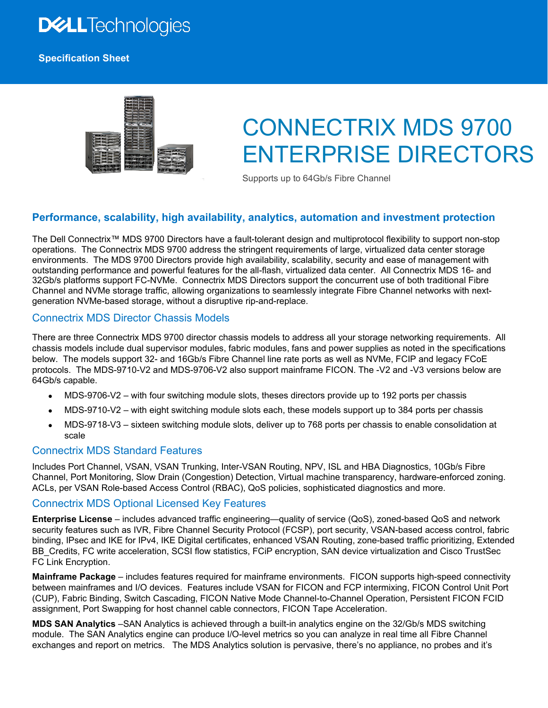# **DELL**Technologies

### **Specification Sheet**

# CONNECTRIX MDS 9700 ENTERPRISE DIRECTORS

Supports up to 64Gb/s Fibre Channel

# **Performance, scalability, high availability, analytics, automation and investment protection**

The Dell Connectrix™ MDS 9700 Directors have a fault-tolerant design and multiprotocol flexibility to support non-stop operations. The Connectrix MDS 9700 address the stringent requirements of large, virtualized data center storage environments. The MDS 9700 Directors provide high availability, scalability, security and ease of management with outstanding performance and powerful features for the all-flash, virtualized data center. All Connectrix MDS 16- and 32Gb/s platforms support FC-NVMe. Connectrix MDS Directors support the concurrent use of both traditional Fibre Channel and NVMe storage traffic, allowing organizations to seamlessly integrate Fibre Channel networks with nextgeneration NVMe-based storage, without a disruptive rip-and-replace.

## Connectrix MDS Director Chassis Models

There are three Connectrix MDS 9700 director chassis models to address all your storage networking requirements. All chassis models include dual supervisor modules, fabric modules, fans and power supplies as noted in the specifications below. The models support 32- and 16Gb/s Fibre Channel line rate ports as well as NVMe, FCIP and legacy FCoE protocols. The MDS-9710-V2 and MDS-9706-V2 also support mainframe FICON. The -V2 and -V3 versions below are 64Gb/s capable.

- MDS-9706-V2 with four switching module slots, theses directors provide up to 192 ports per chassis
- MDS-9710-V2 with eight switching module slots each, these models support up to 384 ports per chassis
- MDS-9718-V3 sixteen switching module slots, deliver up to 768 ports per chassis to enable consolidation at scale

## Connectrix MDS Standard Features

Includes Port Channel, VSAN, VSAN Trunking, Inter-VSAN Routing, NPV, ISL and HBA Diagnostics, 10Gb/s Fibre Channel, Port Monitoring, Slow Drain (Congestion) Detection, Virtual machine transparency, hardware-enforced zoning. ACLs, per VSAN Role-based Access Control (RBAC), QoS policies, sophisticated diagnostics and more.

### Connectrix MDS Optional Licensed Key Features

**Enterprise License** – includes advanced traffic engineering—quality of service (QoS), zoned-based QoS and network security features such as IVR, Fibre Channel Security Protocol (FCSP), port security, VSAN-based access control, fabric binding, IPsec and IKE for IPv4, IKE Digital certificates, enhanced VSAN Routing, zone-based traffic prioritizing, Extended BB\_Credits, FC write acceleration, SCSI flow statistics, FCiP encryption, SAN device virtualization and Cisco TrustSec FC Link Encryption.

**Mainframe Package** – includes features required for mainframe environments. FICON supports high-speed connectivity between mainframes and I/O devices. Features include VSAN for FICON and FCP intermixing, FICON Control Unit Port (CUP), Fabric Binding, Switch Cascading, FICON Native Mode Channel-to-Channel Operation, Persistent FICON FCID assignment, Port Swapping for host channel cable connectors, FICON Tape Acceleration.

**MDS SAN Analytics** –SAN Analytics is achieved through a built-in analytics engine on the 32/Gb/s MDS switching module. The SAN Analytics engine can produce I/O-level metrics so you can analyze in real time all Fibre Channel exchanges and report on metrics. The MDS Analytics solution is pervasive, there's no appliance, no probes and it's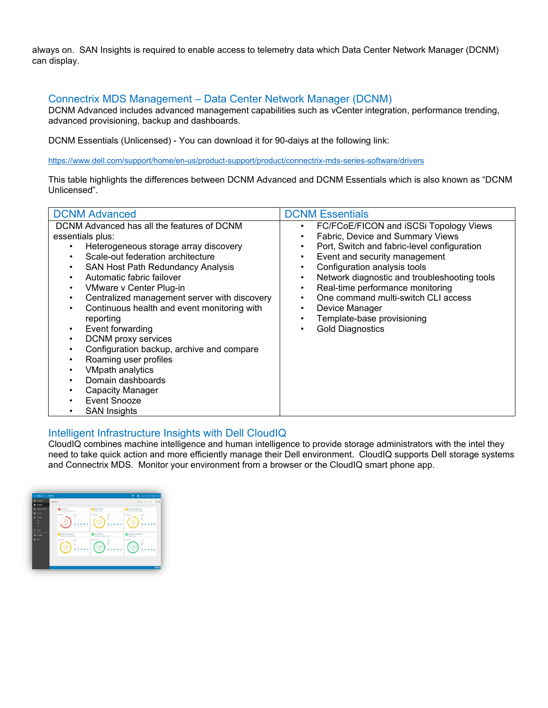always on. SAN Insights is required to enable access to telemetry data which Data Center Network Manager (DCNM) can display.

# Connectrix MDS Management – Data Center Network Manager (DCNM)

DCNM Advanced includes advanced management capabilities such as vCenter integration, performance trending, advanced provisioning, backup and dashboards.

DCNM Essentials (Unlicensed) - You can download it for 90-daiys at the following link:

<https://www.dell.com/support/home/en-us/product-support/product/connectrix-mds-series-software/drivers>

This table highlights the differences between DCNM Advanced and DCNM Essentials which is also known as "DCNM Unlicensed".

| <b>DCNM Advanced</b>                                                                                                                                                                                                                                                                                                                                                                                                                                                                                                                                                                                  | <b>DCNM Essentials</b>                                                                                                                                                                                                                                                                                                                                                                                                                 |
|-------------------------------------------------------------------------------------------------------------------------------------------------------------------------------------------------------------------------------------------------------------------------------------------------------------------------------------------------------------------------------------------------------------------------------------------------------------------------------------------------------------------------------------------------------------------------------------------------------|----------------------------------------------------------------------------------------------------------------------------------------------------------------------------------------------------------------------------------------------------------------------------------------------------------------------------------------------------------------------------------------------------------------------------------------|
| DCNM Advanced has all the features of DCNM<br>essentials plus:<br>Heterogeneous storage array discovery<br>Scale-out federation architecture<br>SAN Host Path Redundancy Analysis<br>Automatic fabric failover<br>VMware v Center Plug-in<br>Centralized management server with discovery<br>Continuous health and event monitoring with<br>reporting<br>Event forwarding<br>$\bullet$<br><b>DCNM</b> proxy services<br>Configuration backup, archive and compare<br>Roaming user profiles<br><b>VMpath analytics</b><br>Domain dashboards<br>Capacity Manager<br>Event Snooze<br><b>SAN Insights</b> | FC/FCoE/FICON and iSCSi Topology Views<br>٠<br>Fabric, Device and Summary Views<br>Port, Switch and fabric-level configuration<br>Event and security management<br>٠<br>Configuration analysis tools<br>Network diagnostic and troubleshooting tools<br>$\bullet$<br>Real-time performance monitoring<br>٠<br>One command multi-switch CLI access<br>٠<br>Device Manager<br>Template-base provisioning<br><b>Gold Diagnostics</b><br>٠ |

# Intelligent Infrastructure Insights with Dell CloudIQ

CloudIQ combines machine intelligence and human intelligence to provide storage administrators with the intel they need to take quick action and more efficiently manage their Dell environment. CloudIQ supports Dell storage systems and Connectrix MDS. Monitor your environment from a browser or the CloudIQ smart phone app.

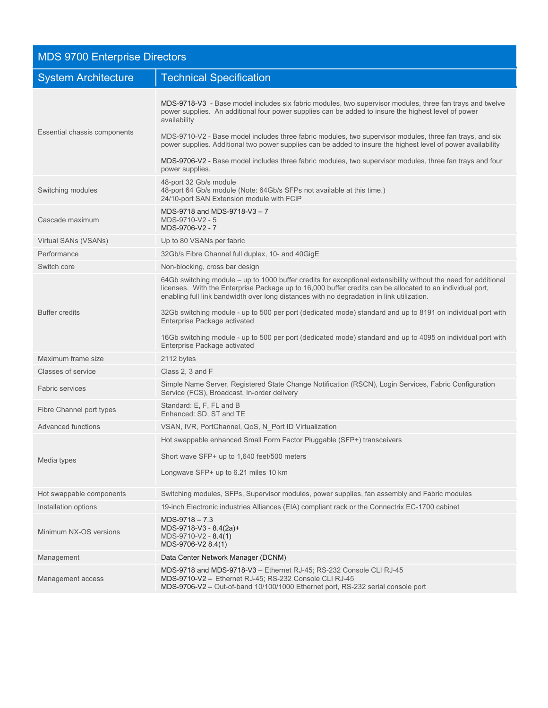| <b>MDS 9700 Enterprise Directors</b> |                                                                                                                                                                                                                                                                                                                                                                                                                                                                                                                                                                                         |
|--------------------------------------|-----------------------------------------------------------------------------------------------------------------------------------------------------------------------------------------------------------------------------------------------------------------------------------------------------------------------------------------------------------------------------------------------------------------------------------------------------------------------------------------------------------------------------------------------------------------------------------------|
| <b>System Architecture</b>           | <b>Technical Specification</b>                                                                                                                                                                                                                                                                                                                                                                                                                                                                                                                                                          |
| Essential chassis components         | MDS-9718-V3 - Base model includes six fabric modules, two supervisor modules, three fan trays and twelve<br>power supplies. An additional four power supplies can be added to insure the highest level of power<br>availability<br>MDS-9710-V2 - Base model includes three fabric modules, two supervisor modules, three fan trays, and six<br>power supplies. Additional two power supplies can be added to insure the highest level of power availability<br>MDS-9706-V2 - Base model includes three fabric modules, two supervisor modules, three fan trays and four                 |
| Switching modules                    | power supplies.<br>48-port 32 Gb/s module<br>48-port 64 Gb/s module (Note: 64Gb/s SFPs not available at this time.)<br>24/10-port SAN Extension module with FCiP                                                                                                                                                                                                                                                                                                                                                                                                                        |
| Cascade maximum                      | MDS-9718 and MDS-9718-V3 - 7<br>MDS-9710-V2 - 5<br>MDS-9706-V2 - 7                                                                                                                                                                                                                                                                                                                                                                                                                                                                                                                      |
| Virtual SANs (VSANs)                 | Up to 80 VSANs per fabric                                                                                                                                                                                                                                                                                                                                                                                                                                                                                                                                                               |
| Performance                          | 32Gb/s Fibre Channel full duplex, 10- and 40GigE                                                                                                                                                                                                                                                                                                                                                                                                                                                                                                                                        |
| Switch core                          | Non-blocking, cross bar design                                                                                                                                                                                                                                                                                                                                                                                                                                                                                                                                                          |
| <b>Buffer credits</b>                | 64Gb switching module – up to 1000 buffer credits for exceptional extensibility without the need for additional<br>licenses. With the Enterprise Package up to 16,000 buffer credits can be allocated to an individual port,<br>enabling full link bandwidth over long distances with no degradation in link utilization.<br>32Gb switching module - up to 500 per port (dedicated mode) standard and up to 8191 on individual port with<br>Enterprise Package activated<br>16Gb switching module - up to 500 per port (dedicated mode) standard and up to 4095 on individual port with |
|                                      | Enterprise Package activated                                                                                                                                                                                                                                                                                                                                                                                                                                                                                                                                                            |
| Maximum frame size                   | 2112 bytes                                                                                                                                                                                                                                                                                                                                                                                                                                                                                                                                                                              |
| Classes of service                   | Class 2, 3 and F                                                                                                                                                                                                                                                                                                                                                                                                                                                                                                                                                                        |
| <b>Fabric services</b>               | Simple Name Server, Registered State Change Notification (RSCN), Login Services, Fabric Configuration<br>Service (FCS), Broadcast, In-order delivery                                                                                                                                                                                                                                                                                                                                                                                                                                    |
| Fibre Channel port types             | Standard: E, F, FL and B<br>Enhanced: SD, ST and TE                                                                                                                                                                                                                                                                                                                                                                                                                                                                                                                                     |
| <b>Advanced functions</b>            | VSAN, IVR, PortChannel, QoS, N Port ID Virtualization                                                                                                                                                                                                                                                                                                                                                                                                                                                                                                                                   |
| Media types                          | Hot swappable enhanced Small Form Factor Pluggable (SFP+) transceivers<br>Short wave SFP+ up to 1,640 feet/500 meters<br>Longwave SFP+ up to 6.21 miles 10 km                                                                                                                                                                                                                                                                                                                                                                                                                           |
| Hot swappable components             | Switching modules, SFPs, Supervisor modules, power supplies, fan assembly and Fabric modules                                                                                                                                                                                                                                                                                                                                                                                                                                                                                            |
| Installation options                 | 19-inch Electronic industries Alliances (EIA) compliant rack or the Connectrix EC-1700 cabinet                                                                                                                                                                                                                                                                                                                                                                                                                                                                                          |
| Minimum NX-OS versions               | $MDS-9718-7.3$<br>MDS-9718-V3 - 8.4(2a)+<br>MDS-9710-V2 - 8.4(1)<br>MDS-9706-V2 8.4(1)                                                                                                                                                                                                                                                                                                                                                                                                                                                                                                  |
| Management                           | Data Center Network Manager (DCNM)                                                                                                                                                                                                                                                                                                                                                                                                                                                                                                                                                      |
| Management access                    | MDS-9718 and MDS-9718-V3 - Ethernet RJ-45; RS-232 Console CLI RJ-45<br>MDS-9710-V2 - Ethernet RJ-45; RS-232 Console CLI RJ-45<br>MDS-9706-V2 - Out-of-band 10/100/1000 Ethernet port, RS-232 serial console port                                                                                                                                                                                                                                                                                                                                                                        |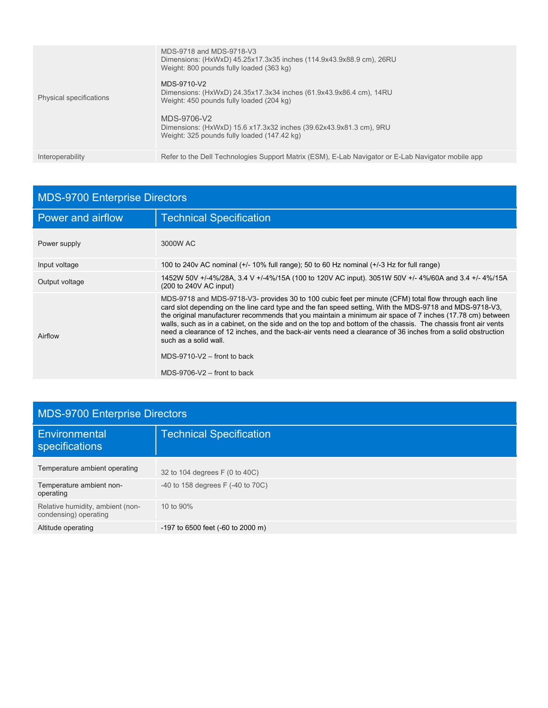| Physical specifications | MDS-9718 and MDS-9718-V3<br>Dimensions: (HxWxD) 45.25x17.3x35 inches (114.9x43.9x88.9 cm), 26RU<br>Weight: 800 pounds fully loaded (363 kg)<br>MDS-9710-V2<br>Dimensions: (HxWxD) 24.35x17.3x34 inches (61.9x43.9x86.4 cm), 14RU<br>Weight: 450 pounds fully loaded (204 kg)<br>MDS-9706-V2<br>Dimensions: (HxWxD) 15.6 x17.3x32 inches (39.62x43.9x81.3 cm), 9RU<br>Weight: 325 pounds fully loaded (147.42 kg) |
|-------------------------|------------------------------------------------------------------------------------------------------------------------------------------------------------------------------------------------------------------------------------------------------------------------------------------------------------------------------------------------------------------------------------------------------------------|
| Interoperability        | Refer to the Dell Technologies Support Matrix (ESM), E-Lab Navigator or E-Lab Navigator mobile app                                                                                                                                                                                                                                                                                                               |

| <b>MDS-9700 Enterprise Directors</b> |                                                                                                                                                                                                                                                                                                                                                                                                                                                                                                                                                                                                                                                            |
|--------------------------------------|------------------------------------------------------------------------------------------------------------------------------------------------------------------------------------------------------------------------------------------------------------------------------------------------------------------------------------------------------------------------------------------------------------------------------------------------------------------------------------------------------------------------------------------------------------------------------------------------------------------------------------------------------------|
| <b>Power and airflow</b>             | <b>Technical Specification</b>                                                                                                                                                                                                                                                                                                                                                                                                                                                                                                                                                                                                                             |
| Power supply                         | 3000W AC                                                                                                                                                                                                                                                                                                                                                                                                                                                                                                                                                                                                                                                   |
| Input voltage                        | 100 to 240v AC nominal (+/- 10% full range); 50 to 60 Hz nominal (+/-3 Hz for full range)                                                                                                                                                                                                                                                                                                                                                                                                                                                                                                                                                                  |
| Output voltage                       | 1452W 50V +/-4%/28A, 3.4 V +/-4%/15A (100 to 120V AC input). 3051W 50V +/- 4%/60A and 3.4 +/- 4%/15A<br>(200 to 240V AC input)                                                                                                                                                                                                                                                                                                                                                                                                                                                                                                                             |
| Airflow                              | MDS-9718 and MDS-9718-V3- provides 30 to 100 cubic feet per minute (CFM) total flow through each line<br>card slot depending on the line card type and the fan speed setting, With the MDS-9718 and MDS-9718-V3,<br>the original manufacturer recommends that you maintain a minimum air space of 7 inches (17.78 cm) between<br>walls, such as in a cabinet, on the side and on the top and bottom of the chassis. The chassis front air vents<br>need a clearance of 12 inches, and the back-air vents need a clearance of 36 inches from a solid obstruction<br>such as a solid wall.<br>MDS-9710-V2 $-$ front to back<br>MDS-9706-V2 $-$ front to back |

| <b>MDS-9700 Enterprise Directors</b>                      |                                        |  |
|-----------------------------------------------------------|----------------------------------------|--|
| Environmental<br>specifications                           | <b>Technical Specification</b>         |  |
| Temperature ambient operating                             | 32 to 104 degrees F (0 to 40C)         |  |
| Temperature ambient non-<br>operating                     | $-40$ to 158 degrees F $(-40$ to 70C)  |  |
| Relative humidity, ambient (non-<br>condensing) operating | 10 to 90%                              |  |
| Altitude operating                                        | $-197$ to 6500 feet ( $-60$ to 2000 m) |  |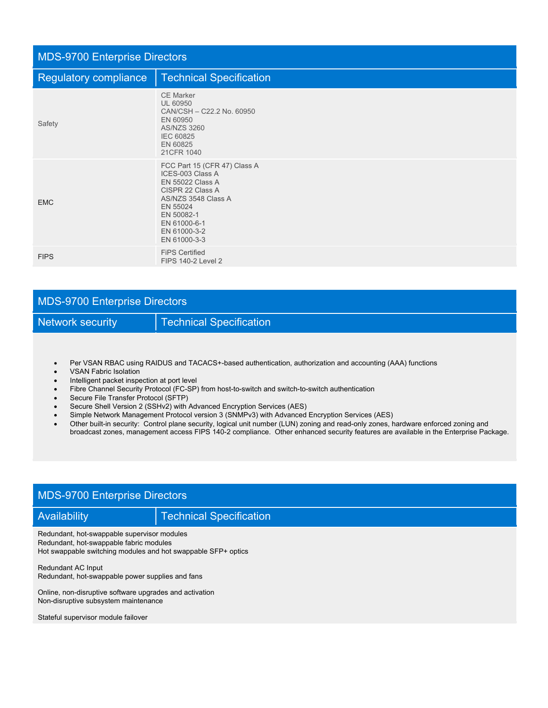| <b>MDS-9700 Enterprise Directors</b> |                                                                                                                                                                                           |  |
|--------------------------------------|-------------------------------------------------------------------------------------------------------------------------------------------------------------------------------------------|--|
| Regulatory compliance                | <b>Technical Specification</b>                                                                                                                                                            |  |
| Safety                               | <b>CE Marker</b><br><b>UL 60950</b><br>CAN/CSH - C22.2 No. 60950<br>EN 60950<br><b>AS/NZS 3260</b><br><b>IEC 60825</b><br>EN 60825<br>21CFR 1040                                          |  |
| <b>EMC</b>                           | FCC Part 15 (CFR 47) Class A<br>ICES-003 Class A<br>EN 55022 Class A<br>CISPR 22 Class A<br>AS/NZS 3548 Class A<br>EN 55024<br>EN 50082-1<br>EN 61000-6-1<br>EN 61000-3-2<br>EN 61000-3-3 |  |
| <b>FIPS</b>                          | <b>FiPS Certified</b><br><b>FIPS 140-2 Level 2</b>                                                                                                                                        |  |

| <b>MDS-9700 Enterprise Directors</b> |                                |
|--------------------------------------|--------------------------------|
| Network security                     | <b>Technical Specification</b> |

- Per VSAN RBAC using RAIDUS and TACACS+-based authentication, authorization and accounting (AAA) functions
- VSAN Fabric Isolation
- Intelligent packet inspection at port level
- Fibre Channel Security Protocol (FC-SP) from host-to-switch and switch-to-switch authentication
- Secure File Transfer Protocol (SFTP)
- Secure Shell Version 2 (SSHv2) with Advanced Encryption Services (AES)
- Simple Network Management Protocol version 3 (SNMPv3) with Advanced Encryption Services (AES)
- Other built-in security: Control plane security, logical unit number (LUN) zoning and read-only zones, hardware enforced zoning and broadcast zones, management access FIPS 140-2 compliance. Other enhanced security features are available in the Enterprise Package.

# MDS-9700 Enterprise Directors

Availability **Technical Specification** 

Redundant, hot-swappable supervisor modules Redundant, hot-swappable fabric modules Hot swappable switching modules and hot swappable SFP+ optics

Redundant AC Input Redundant, hot-swappable power supplies and fans

Online, non-disruptive software upgrades and activation Non-disruptive subsystem maintenance

Stateful supervisor module failover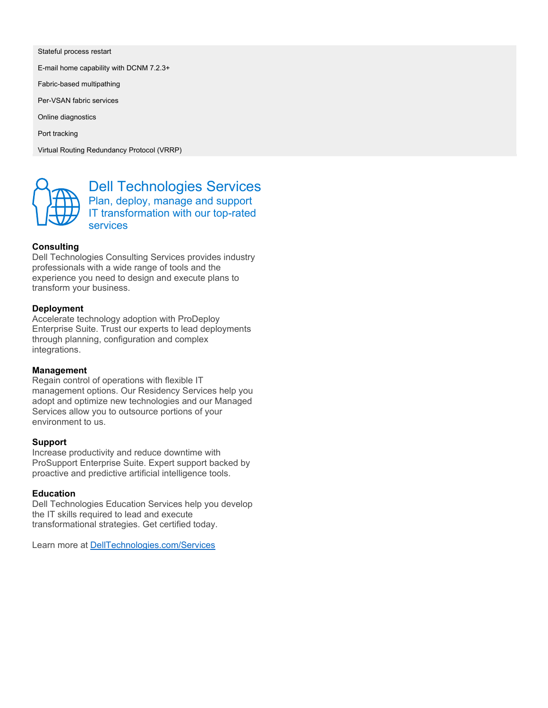Stateful process restart

E-mail home capability with DCNM 7.2.3+

Fabric-based multipathing

Per-VSAN fabric services

Online diagnostics

Port tracking

Virtual Routing Redundancy Protocol (VRRP)



Dell Technologies Services Plan, deploy, manage and support IT transformation with our top-rated services

### **Consulting**

Dell Technologies Consulting Services provides industry professionals with a wide range of tools and the experience you need to design and execute plans to transform your business.

### **Deployment**

Accelerate technology adoption with ProDeploy Enterprise Suite. Trust our experts to lead deployments through planning, configuration and complex integrations.

#### **Management**

Regain control of operations with flexible IT management options. Our Residency Services help you adopt and optimize new technologies and our Managed Services allow you to outsource portions of your environment to us.

#### **Support**

Increase productivity and reduce downtime with ProSupport Enterprise Suite. Expert support backed by proactive and predictive artificial intelligence tools.

### **Education**

Dell Technologies Education Services help you develop the IT skills required to lead and execute transformational strategies. Get certified today.

Learn more at [DellTechnologies.com/Services](http://www.delltechnologies.com/Services)